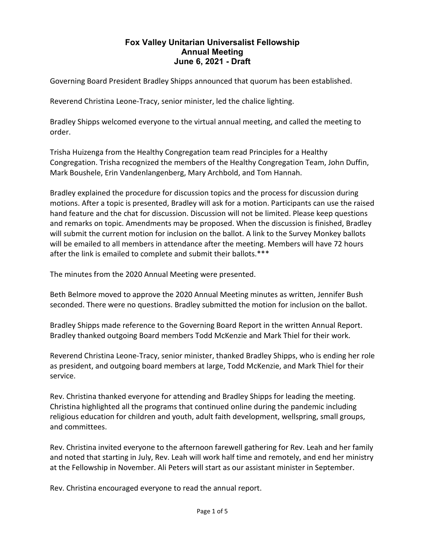## **Fox Valley Unitarian Universalist Fellowship Annual Meeting June 6, 2021 - Draft**

Governing Board President Bradley Shipps announced that quorum has been established.

Reverend Christina Leone-Tracy, senior minister, led the chalice lighting.

Bradley Shipps welcomed everyone to the virtual annual meeting, and called the meeting to order.

Trisha Huizenga from the Healthy Congregation team read Principles for a Healthy Congregation. Trisha recognized the members of the Healthy Congregation Team, John Duffin, Mark Boushele, Erin Vandenlangenberg, Mary Archbold, and Tom Hannah.

Bradley explained the procedure for discussion topics and the process for discussion during motions. After a topic is presented, Bradley will ask for a motion. Participants can use the raised hand feature and the chat for discussion. Discussion will not be limited. Please keep questions and remarks on topic. Amendments may be proposed. When the discussion is finished, Bradley will submit the current motion for inclusion on the ballot. A link to the Survey Monkey ballots will be emailed to all members in attendance after the meeting. Members will have 72 hours after the link is emailed to complete and submit their ballots.\*\*\*

The minutes from the 2020 Annual Meeting were presented.

Beth Belmore moved to approve the 2020 Annual Meeting minutes as written, Jennifer Bush seconded. There were no questions. Bradley submitted the motion for inclusion on the ballot.

Bradley Shipps made reference to the Governing Board Report in the written Annual Report. Bradley thanked outgoing Board members Todd McKenzie and Mark Thiel for their work.

Reverend Christina Leone-Tracy, senior minister, thanked Bradley Shipps, who is ending her role as president, and outgoing board members at large, Todd McKenzie, and Mark Thiel for their service.

Rev. Christina thanked everyone for attending and Bradley Shipps for leading the meeting. Christina highlighted all the programs that continued online during the pandemic including religious education for children and youth, adult faith development, wellspring, small groups, and committees.

Rev. Christina invited everyone to the afternoon farewell gathering for Rev. Leah and her family and noted that starting in July, Rev. Leah will work half time and remotely, and end her ministry at the Fellowship in November. Ali Peters will start as our assistant minister in September.

Rev. Christina encouraged everyone to read the annual report.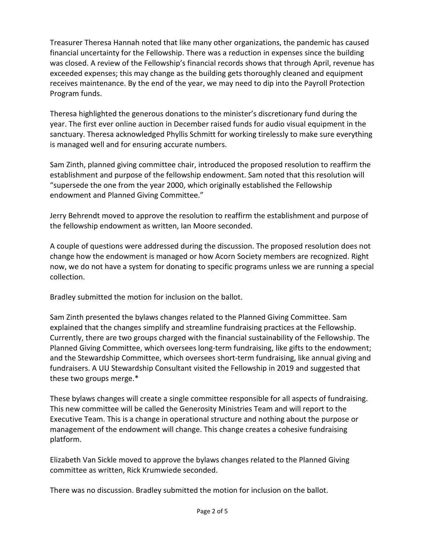Treasurer Theresa Hannah noted that like many other organizations, the pandemic has caused financial uncertainty for the Fellowship. There was a reduction in expenses since the building was closed. A review of the Fellowship's financial records shows that through April, revenue has exceeded expenses; this may change as the building gets thoroughly cleaned and equipment receives maintenance. By the end of the year, we may need to dip into the Payroll Protection Program funds.

Theresa highlighted the generous donations to the minister's discretionary fund during the year. The first ever online auction in December raised funds for audio visual equipment in the sanctuary. Theresa acknowledged Phyllis Schmitt for working tirelessly to make sure everything is managed well and for ensuring accurate numbers.

Sam Zinth, planned giving committee chair, introduced the proposed resolution to reaffirm the establishment and purpose of the fellowship endowment. Sam noted that this resolution will "supersede the one from the year 2000, which originally established the Fellowship endowment and Planned Giving Committee."

Jerry Behrendt moved to approve the resolution to reaffirm the establishment and purpose of the fellowship endowment as written, Ian Moore seconded.

A couple of questions were addressed during the discussion. The proposed resolution does not change how the endowment is managed or how Acorn Society members are recognized. Right now, we do not have a system for donating to specific programs unless we are running a special collection.

Bradley submitted the motion for inclusion on the ballot.

Sam Zinth presented the bylaws changes related to the Planned Giving Committee. Sam explained that the changes simplify and streamline fundraising practices at the Fellowship. Currently, there are two groups charged with the financial sustainability of the Fellowship. The Planned Giving Committee, which oversees long-term fundraising, like gifts to the endowment; and the Stewardship Committee, which oversees short-term fundraising, like annual giving and fundraisers. A UU Stewardship Consultant visited the Fellowship in 2019 and suggested that these two groups merge.\*

These bylaws changes will create a single committee responsible for all aspects of fundraising. This new committee will be called the Generosity Ministries Team and will report to the Executive Team. This is a change in operational structure and nothing about the purpose or management of the endowment will change. This change creates a cohesive fundraising platform.

Elizabeth Van Sickle moved to approve the bylaws changes related to the Planned Giving committee as written, Rick Krumwiede seconded.

There was no discussion. Bradley submitted the motion for inclusion on the ballot.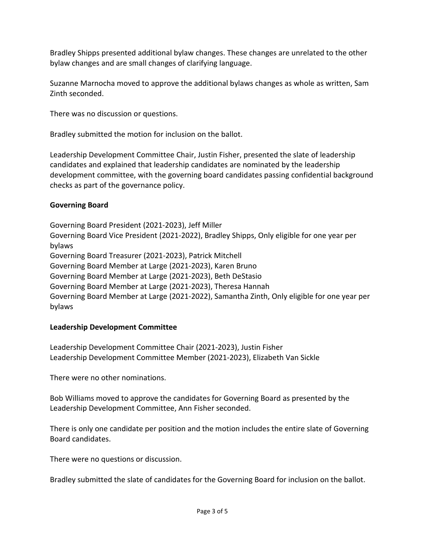Bradley Shipps presented additional bylaw changes. These changes are unrelated to the other bylaw changes and are small changes of clarifying language.

Suzanne Marnocha moved to approve the additional bylaws changes as whole as written, Sam Zinth seconded.

There was no discussion or questions.

Bradley submitted the motion for inclusion on the ballot.

Leadership Development Committee Chair, Justin Fisher, presented the slate of leadership candidates and explained that leadership candidates are nominated by the leadership development committee, with the governing board candidates passing confidential background checks as part of the governance policy.

## **Governing Board**

Governing Board President (2021-2023), Jeff Miller Governing Board Vice President (2021-2022), Bradley Shipps, Only eligible for one year per bylaws Governing Board Treasurer (2021-2023), Patrick Mitchell Governing Board Member at Large (2021-2023), Karen Bruno Governing Board Member at Large (2021-2023), Beth DeStasio Governing Board Member at Large (2021-2023), Theresa Hannah Governing Board Member at Large (2021-2022), Samantha Zinth, Only eligible for one year per bylaws

## **Leadership Development Committee**

Leadership Development Committee Chair (2021-2023), Justin Fisher Leadership Development Committee Member (2021-2023), Elizabeth Van Sickle

There were no other nominations.

Bob Williams moved to approve the candidates for Governing Board as presented by the Leadership Development Committee, Ann Fisher seconded.

There is only one candidate per position and the motion includes the entire slate of Governing Board candidates.

There were no questions or discussion.

Bradley submitted the slate of candidates for the Governing Board for inclusion on the ballot.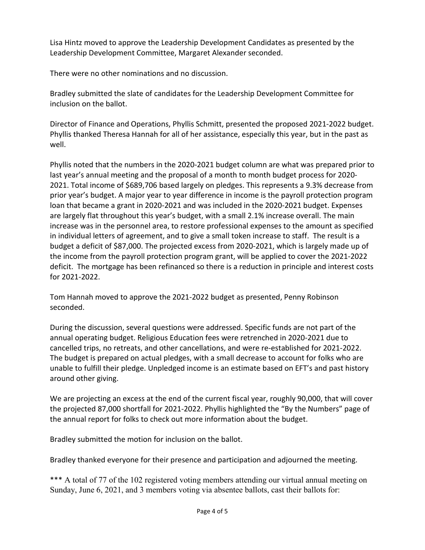Lisa Hintz moved to approve the Leadership Development Candidates as presented by the Leadership Development Committee, Margaret Alexander seconded.

There were no other nominations and no discussion.

Bradley submitted the slate of candidates for the Leadership Development Committee for inclusion on the ballot.

Director of Finance and Operations, Phyllis Schmitt, presented the proposed 2021-2022 budget. Phyllis thanked Theresa Hannah for all of her assistance, especially this year, but in the past as well.

Phyllis noted that the numbers in the 2020-2021 budget column are what was prepared prior to last year's annual meeting and the proposal of a month to month budget process for 2020- 2021. Total income of \$689,706 based largely on pledges. This represents a 9.3% decrease from prior year's budget. A major year to year difference in income is the payroll protection program loan that became a grant in 2020-2021 and was included in the 2020-2021 budget. Expenses are largely flat throughout this year's budget, with a small 2.1% increase overall. The main increase was in the personnel area, to restore professional expenses to the amount as specified in individual letters of agreement, and to give a small token increase to staff. The result is a budget a deficit of \$87,000. The projected excess from 2020-2021, which is largely made up of the income from the payroll protection program grant, will be applied to cover the 2021-2022 deficit. The mortgage has been refinanced so there is a reduction in principle and interest costs for 2021-2022.

Tom Hannah moved to approve the 2021-2022 budget as presented, Penny Robinson seconded.

During the discussion, several questions were addressed. Specific funds are not part of the annual operating budget. Religious Education fees were retrenched in 2020-2021 due to cancelled trips, no retreats, and other cancellations, and were re-established for 2021-2022. The budget is prepared on actual pledges, with a small decrease to account for folks who are unable to fulfill their pledge. Unpledged income is an estimate based on EFT's and past history around other giving.

We are projecting an excess at the end of the current fiscal year, roughly 90,000, that will cover the projected 87,000 shortfall for 2021-2022. Phyllis highlighted the "By the Numbers" page of the annual report for folks to check out more information about the budget.

Bradley submitted the motion for inclusion on the ballot.

Bradley thanked everyone for their presence and participation and adjourned the meeting.

\*\*\* A total of 77 of the 102 registered voting members attending our virtual annual meeting on Sunday, June 6, 2021, and 3 members voting via absentee ballots, cast their ballots for: